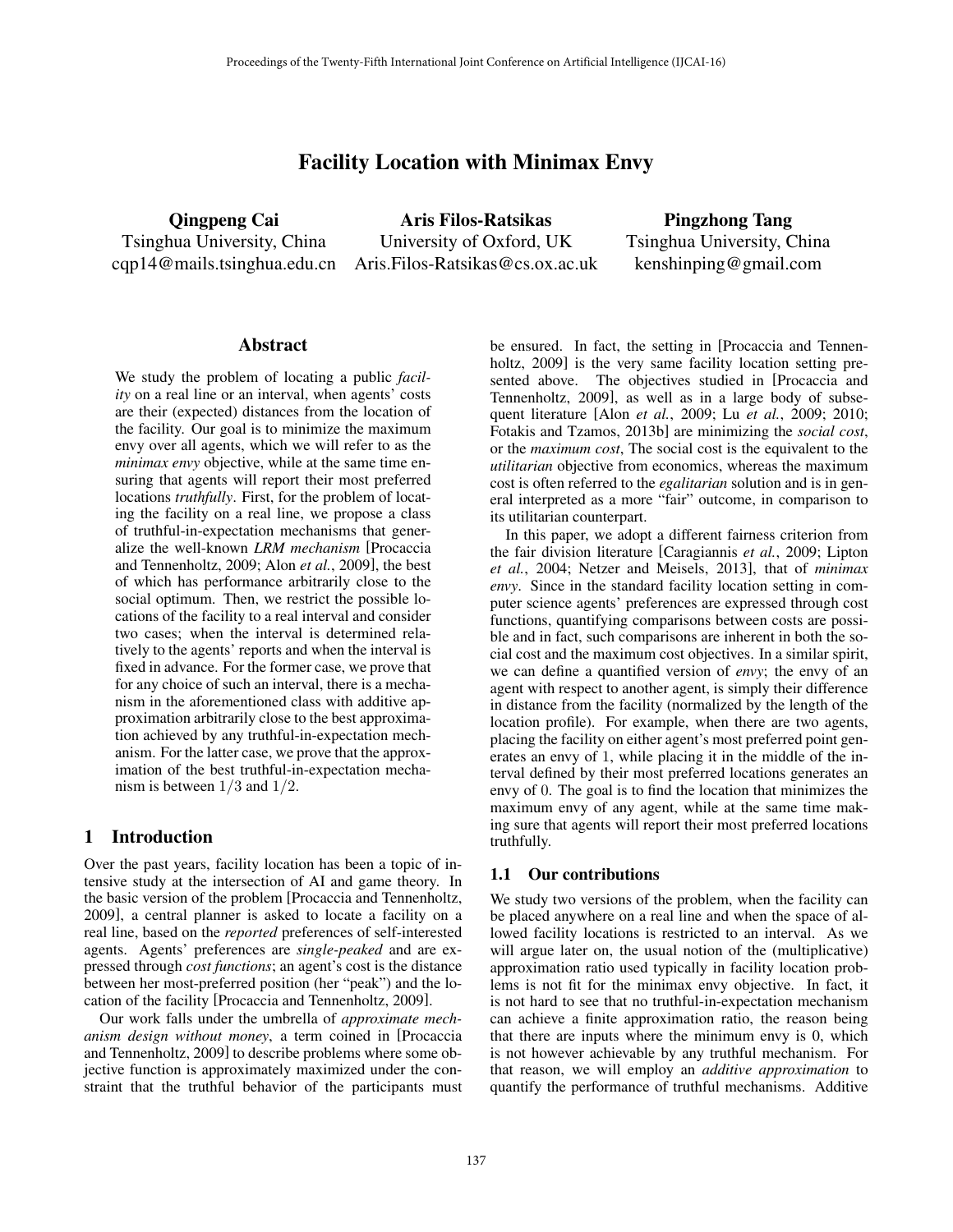# Facility Location with Minimax Envy

Qingpeng Cai Tsinghua University, China cqp14@mails.tsinghua.edu.cn Aris.Filos-Ratsikas@cs.ox.ac.uk

Aris Filos-Ratsikas University of Oxford, UK

Pingzhong Tang Tsinghua University, China kenshinping@gmail.com

#### Abstract

We study the problem of locating a public *facility* on a real line or an interval, when agents' costs are their (expected) distances from the location of the facility. Our goal is to minimize the maximum envy over all agents, which we will refer to as the *minimax envy* objective, while at the same time ensuring that agents will report their most preferred locations *truthfully*. First, for the problem of locating the facility on a real line, we propose a class of truthful-in-expectation mechanisms that generalize the well-known *LRM mechanism* [Procaccia and Tennenholtz, 2009; Alon *et al.*, 2009], the best of which has performance arbitrarily close to the social optimum. Then, we restrict the possible locations of the facility to a real interval and consider two cases; when the interval is determined relatively to the agents' reports and when the interval is fixed in advance. For the former case, we prove that for any choice of such an interval, there is a mechanism in the aforementioned class with additive approximation arbitrarily close to the best approximation achieved by any truthful-in-expectation mechanism. For the latter case, we prove that the approximation of the best truthful-in-expectation mechanism is between 1*/*3 and 1*/*2.

## 1 Introduction

Over the past years, facility location has been a topic of intensive study at the intersection of AI and game theory. In the basic version of the problem [Procaccia and Tennenholtz, 2009], a central planner is asked to locate a facility on a real line, based on the *reported* preferences of self-interested agents. Agents' preferences are *single-peaked* and are expressed through *cost functions*; an agent's cost is the distance between her most-preferred position (her "peak") and the location of the facility [Procaccia and Tennenholtz, 2009].

Our work falls under the umbrella of *approximate mechanism design without money*, a term coined in [Procaccia and Tennenholtz, 2009] to describe problems where some objective function is approximately maximized under the constraint that the truthful behavior of the participants must be ensured. In fact, the setting in [Procaccia and Tennenholtz, 2009] is the very same facility location setting presented above. The objectives studied in [Procaccia and Tennenholtz, 2009], as well as in a large body of subsequent literature [Alon *et al.*, 2009; Lu *et al.*, 2009; 2010; Fotakis and Tzamos, 2013b] are minimizing the *social cost*, or the *maximum cost*, The social cost is the equivalent to the *utilitarian* objective from economics, whereas the maximum cost is often referred to the *egalitarian* solution and is in general interpreted as a more "fair" outcome, in comparison to its utilitarian counterpart.

In this paper, we adopt a different fairness criterion from the fair division literature [Caragiannis *et al.*, 2009; Lipton *et al.*, 2004; Netzer and Meisels, 2013], that of *minimax envy*. Since in the standard facility location setting in computer science agents' preferences are expressed through cost functions, quantifying comparisons between costs are possible and in fact, such comparisons are inherent in both the social cost and the maximum cost objectives. In a similar spirit, we can define a quantified version of *envy*; the envy of an agent with respect to another agent, is simply their difference in distance from the facility (normalized by the length of the location profile). For example, when there are two agents, placing the facility on either agent's most preferred point generates an envy of 1, while placing it in the middle of the interval defined by their most preferred locations generates an envy of 0. The goal is to find the location that minimizes the maximum envy of any agent, while at the same time making sure that agents will report their most preferred locations truthfully.

## 1.1 Our contributions

We study two versions of the problem, when the facility can be placed anywhere on a real line and when the space of allowed facility locations is restricted to an interval. As we will argue later on, the usual notion of the (multiplicative) approximation ratio used typically in facility location problems is not fit for the minimax envy objective. In fact, it is not hard to see that no truthful-in-expectation mechanism can achieve a finite approximation ratio, the reason being that there are inputs where the minimum envy is 0, which is not however achievable by any truthful mechanism. For that reason, we will employ an *additive approximation* to quantify the performance of truthful mechanisms. Additive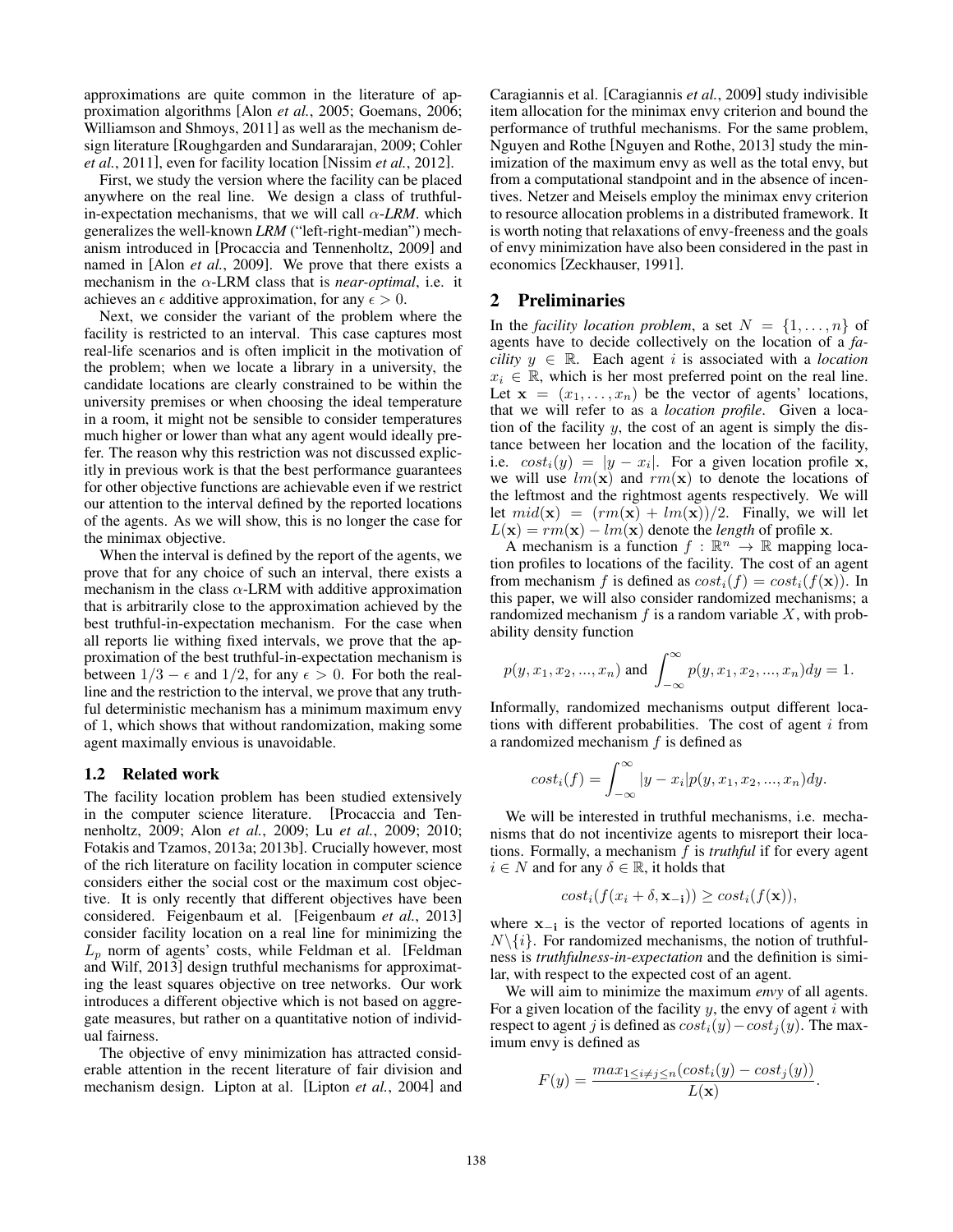approximations are quite common in the literature of approximation algorithms [Alon *et al.*, 2005; Goemans, 2006; Williamson and Shmoys, 2011] as well as the mechanism design literature [Roughgarden and Sundararajan, 2009; Cohler *et al.*, 2011], even for facility location [Nissim *et al.*, 2012].

First, we study the version where the facility can be placed anywhere on the real line. We design a class of truthfulin-expectation mechanisms, that we will call  $\alpha$ -*LRM*. which generalizes the well-known *LRM* ("left-right-median") mechanism introduced in [Procaccia and Tennenholtz, 2009] and named in [Alon *et al.*, 2009]. We prove that there exists a mechanism in the  $\alpha$ -LRM class that is *near-optimal*, i.e. it achieves an  $\epsilon$  additive approximation, for any  $\epsilon > 0$ .

Next, we consider the variant of the problem where the facility is restricted to an interval. This case captures most real-life scenarios and is often implicit in the motivation of the problem; when we locate a library in a university, the candidate locations are clearly constrained to be within the university premises or when choosing the ideal temperature in a room, it might not be sensible to consider temperatures much higher or lower than what any agent would ideally prefer. The reason why this restriction was not discussed explicitly in previous work is that the best performance guarantees for other objective functions are achievable even if we restrict our attention to the interval defined by the reported locations of the agents. As we will show, this is no longer the case for the minimax objective.

When the interval is defined by the report of the agents, we prove that for any choice of such an interval, there exists a mechanism in the class  $\alpha$ -LRM with additive approximation that is arbitrarily close to the approximation achieved by the best truthful-in-expectation mechanism. For the case when all reports lie withing fixed intervals, we prove that the approximation of the best truthful-in-expectation mechanism is between  $1/3 - \epsilon$  and  $1/2$ , for any  $\epsilon > 0$ . For both the realline and the restriction to the interval, we prove that any truthful deterministic mechanism has a minimum maximum envy of 1, which shows that without randomization, making some agent maximally envious is unavoidable.

#### 1.2 Related work

The facility location problem has been studied extensively in the computer science literature. [Procaccia and Tennenholtz, 2009; Alon *et al.*, 2009; Lu *et al.*, 2009; 2010; Fotakis and Tzamos, 2013a; 2013b]. Crucially however, most of the rich literature on facility location in computer science considers either the social cost or the maximum cost objective. It is only recently that different objectives have been considered. Feigenbaum et al. [Feigenbaum *et al.*, 2013] consider facility location on a real line for minimizing the *L<sup>p</sup>* norm of agents' costs, while Feldman et al. [Feldman and Wilf, 2013] design truthful mechanisms for approximating the least squares objective on tree networks. Our work introduces a different objective which is not based on aggregate measures, but rather on a quantitative notion of individual fairness.

The objective of envy minimization has attracted considerable attention in the recent literature of fair division and mechanism design. Lipton at al. [Lipton *et al.*, 2004] and Caragiannis et al. [Caragiannis *et al.*, 2009] study indivisible item allocation for the minimax envy criterion and bound the performance of truthful mechanisms. For the same problem, Nguyen and Rothe [Nguyen and Rothe, 2013] study the minimization of the maximum envy as well as the total envy, but from a computational standpoint and in the absence of incentives. Netzer and Meisels employ the minimax envy criterion to resource allocation problems in a distributed framework. It is worth noting that relaxations of envy-freeness and the goals of envy minimization have also been considered in the past in economics [Zeckhauser, 1991].

## 2 Preliminaries

In the *facility location problem*, a set  $N = \{1, \ldots, n\}$  of agents have to decide collectively on the location of a *facility*  $y \in \mathbb{R}$ . Each agent *i* is associated with a *location*  $x_i \in \mathbb{R}$ , which is her most preferred point on the real line. Let  $\mathbf{x} = (x_1, \ldots, x_n)$  be the vector of agents' locations, that we will refer to as a *location profile*. Given a location of the facility *y*, the cost of an agent is simply the distance between her location and the location of the facility, i.e.  $cost_i(y) = |y - x_i|$ . For a given location profile x, we will use  $lm(\mathbf{x})$  and  $rm(\mathbf{x})$  to denote the locations of the leftmost and the rightmost agents respectively. We will let  $mid(\mathbf{x}) = (rm(\mathbf{x}) + lm(\mathbf{x}))/2$ . Finally, we will let  $L(\mathbf{x}) = rm(\mathbf{x}) - lm(\mathbf{x})$  denote the *length* of profile x.

A mechanism is a function  $f : \mathbb{R}^n \to \mathbb{R}$  mapping location profiles to locations of the facility. The cost of an agent from mechanism *f* is defined as  $cost_i(f) = cost_i(f(\mathbf{x}))$ . In this paper, we will also consider randomized mechanisms; a randomized mechanism  $f$  is a random variable  $X$ , with probability density function

$$
p(y, x_1, x_2, ..., x_n)
$$
 and  $\int_{-\infty}^{\infty} p(y, x_1, x_2, ..., x_n) dy = 1.$ 

Informally, randomized mechanisms output different locations with different probabilities. The cost of agent *i* from a randomized mechanism *f* is defined as

$$
cost_i(f) = \int_{-\infty}^{\infty} |y - x_i| p(y, x_1, x_2, ..., x_n) dy.
$$

We will be interested in truthful mechanisms, i.e. mechanisms that do not incentivize agents to misreport their locations. Formally, a mechanism *f* is *truthful* if for every agent  $i \in N$  and for any  $\delta \in \mathbb{R},$  it holds that

$$
cost_i(f(x_i + \delta, \mathbf{x}_{-i})) \ge cost_i(f(\mathbf{x})),
$$

where  $x_{-i}$  is the vector of reported locations of agents in  $N\backslash\{i\}$ . For randomized mechanisms, the notion of truthfulness is *truthfulness-in-expectation* and the definition is similar, with respect to the expected cost of an agent.

We will aim to minimize the maximum *envy* of all agents. For a given location of the facility *y*, the envy of agent *i* with respect to agent *j* is defined as  $cost_i(y) - cost_i(y)$ . The maximum envy is defined as

$$
F(y) = \frac{max_{1 \le i \neq j \le n} (cost_i(y) - cost_j(y))}{L(\mathbf{x})}.
$$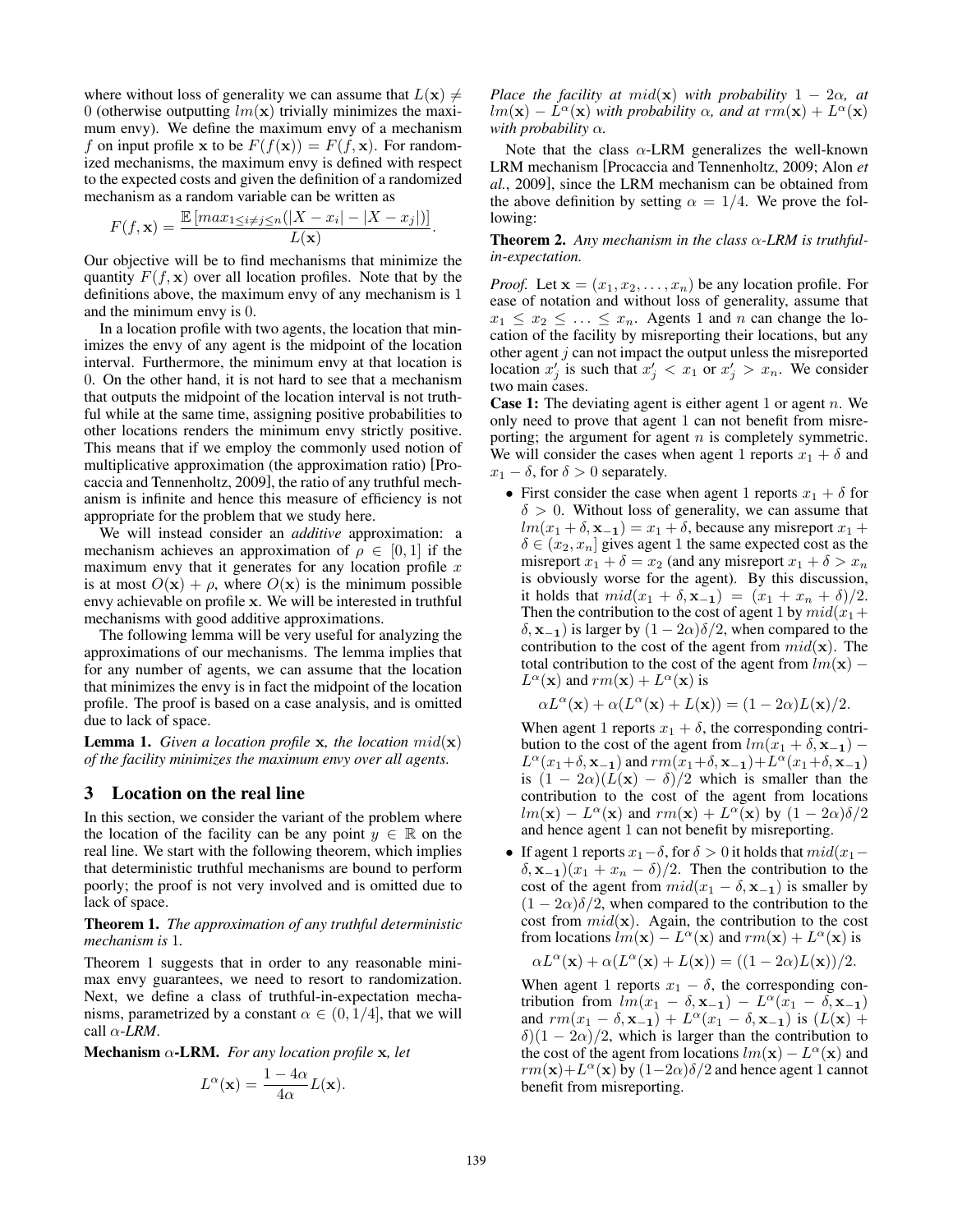where without loss of generality we can assume that  $L(\mathbf{x}) \neq$ 0 (otherwise outputting  $lm(\mathbf{x})$  trivially minimizes the maximum envy). We define the maximum envy of a mechanism *f* on input profile **x** to be  $F(f(\mathbf{x})) = F(f, \mathbf{x})$ . For randomized mechanisms, the maximum envy is defined with respect to the expected costs and given the definition of a randomized mechanism as a random variable can be written as

$$
F(f, \mathbf{x}) = \frac{\mathbb{E}\left[\max_{1 \le i \neq j \le n}(|X - x_i| - |X - x_j|)\right]}{L(\mathbf{x})}.
$$

Our objective will be to find mechanisms that minimize the quantity  $F(f, x)$  over all location profiles. Note that by the definitions above, the maximum envy of any mechanism is 1 and the minimum envy is 0.

In a location profile with two agents, the location that minimizes the envy of any agent is the midpoint of the location interval. Furthermore, the minimum envy at that location is 0. On the other hand, it is not hard to see that a mechanism that outputs the midpoint of the location interval is not truthful while at the same time, assigning positive probabilities to other locations renders the minimum envy strictly positive. This means that if we employ the commonly used notion of multiplicative approximation (the approximation ratio) [Procaccia and Tennenholtz, 2009], the ratio of any truthful mechanism is infinite and hence this measure of efficiency is not appropriate for the problem that we study here.

We will instead consider an *additive* approximation: a mechanism achieves an approximation of  $\rho \in [0, 1]$  if the maximum envy that it generates for any location profile *x* is at most  $O(x) + \rho$ , where  $O(x)$  is the minimum possible envy achievable on profile x. We will be interested in truthful mechanisms with good additive approximations.

The following lemma will be very useful for analyzing the approximations of our mechanisms. The lemma implies that for any number of agents, we can assume that the location that minimizes the envy is in fact the midpoint of the location profile. The proof is based on a case analysis, and is omitted due to lack of space.

**Lemma 1.** *Given a location profile* x, the *location*  $mid(\mathbf{x})$ *of the facility minimizes the maximum envy over all agents.*

## 3 Location on the real line

In this section, we consider the variant of the problem where the location of the facility can be any point  $y \in \mathbb{R}$  on the real line. We start with the following theorem, which implies that deterministic truthful mechanisms are bound to perform poorly; the proof is not very involved and is omitted due to lack of space.

#### Theorem 1. *The approximation of any truthful deterministic mechanism is* 1*.*

Theorem 1 suggests that in order to any reasonable minimax envy guarantees, we need to resort to randomization. Next, we define a class of truthful-in-expectation mechanisms, parametrized by a constant  $\alpha \in (0, 1/4]$ , that we will call  $\alpha$ -*LRM*.

Mechanism  $\alpha$ -LRM. For any location profile x, let

$$
L^{\alpha}(\mathbf{x}) = \frac{1 - 4\alpha}{4\alpha} L(\mathbf{x}).
$$

*Place the facility at*  $mid(\mathbf{x})$  *with probability*  $1 - 2\alpha$ *, at*  $lm(\mathbf{x}) - L^{\alpha}(\mathbf{x})$  *with probability*  $\alpha$ *, and at*  $rm(\mathbf{x}) + L^{\alpha}(\mathbf{x})$ *with probability*  $\alpha$ *.* 

Note that the class  $\alpha$ -LRM generalizes the well-known LRM mechanism [Procaccia and Tennenholtz, 2009; Alon *et al.*, 2009], since the LRM mechanism can be obtained from the above definition by setting  $\alpha = 1/4$ . We prove the following:

**Theorem 2.** Any mechanism in the class  $\alpha$ -LRM is truthful*in-expectation.*

*Proof.* Let  $\mathbf{x} = (x_1, x_2, \dots, x_n)$  be any location profile. For ease of notation and without loss of generality, assume that  $x_1 \leq x_2 \leq \ldots \leq x_n$ . Agents 1 and *n* can change the location of the facility by misreporting their locations, but any other agent *j* can not impact the output unless the misreported location  $x'_j$  is such that  $x'_j < x_1$  or  $x'_j > x_n$ . We consider two main cases.

Case 1: The deviating agent is either agent 1 or agent *n*. We only need to prove that agent 1 can not benefit from misreporting; the argument for agent *n* is completely symmetric. We will consider the cases when agent 1 reports  $x_1 + \delta$  and  $x_1 - \delta$ , for  $\delta > 0$  separately.

• First consider the case when agent 1 reports  $x_1 + \delta$  for  $\delta$  > 0. Without loss of generality, we can assume that  $lm(x_1 + \delta, \mathbf{x}_{-1}) = x_1 + \delta$ , because any misreport  $x_1 + \delta$  $\delta \in (x_2, x_n]$  gives agent 1 the same expected cost as the misreport  $x_1 + \delta = x_2$  (and any misreport  $x_1 + \delta > x_n$ ) is obviously worse for the agent). By this discussion, it holds that  $mid(x_1 + \delta, x_{-1}) = (x_1 + x_n + \delta)/2$ . Then the contribution to the cost of agent 1 by  $mid(x_1 +$  $(\delta, \mathbf{x}_{-1})$  is larger by  $(1 - 2\alpha)\delta/2$ , when compared to the contribution to the cost of the agent from  $mid(\mathbf{x})$ . The total contribution to the cost of the agent from  $lm(\mathbf{x})$  –  $L^{\alpha}(\mathbf{x})$  and  $rm(\mathbf{x}) + L^{\alpha}(\mathbf{x})$  is

$$
\alpha L^{\alpha}(\mathbf{x}) + \alpha (L^{\alpha}(\mathbf{x}) + L(\mathbf{x})) = (1 - 2\alpha)L(\mathbf{x})/2.
$$

When agent 1 reports  $x_1 + \delta$ , the corresponding contribution to the cost of the agent from  $lm(x_1 + \delta, x_{-1})$  –  $L^{\alpha}(x_1+\delta, \mathbf{x}_{-1})$  and  $rm(x_1+\delta, \mathbf{x}_{-1})+L^{\alpha}(x_1+\delta, \mathbf{x}_{-1})$ is  $(1 - 2\alpha)(L(x) - \delta)/2$  which is smaller than the contribution to the cost of the agent from locations  $lm(\mathbf{x}) - L^{\alpha}(\mathbf{x})$  and  $rm(\mathbf{x}) + L^{\alpha}(\mathbf{x})$  by  $(1 - 2\alpha)\delta/2$ and hence agent 1 can not benefit by misreporting.

• If agent 1 reports  $x_1 - \delta$ , for  $\delta > 0$  it holds that  $mid(x_1 - \delta)$  $(\delta, \mathbf{x}_{-1})(x_1 + x_n - \delta)/2$ . Then the contribution to the cost of the agent from  $mid(x_1 - \delta, \mathbf{x}_{-1})$  is smaller by  $(1 - 2\alpha)\delta/2$ , when compared to the contribution to the cost from  $mid(\mathbf{x})$ . Again, the contribution to the cost from locations  $lm(\mathbf{x}) - L^{\alpha}(\mathbf{x})$  and  $rm(\mathbf{x}) + L^{\alpha}(\mathbf{x})$  is

$$
\alpha L^{\alpha}(\mathbf{x}) + \alpha (L^{\alpha}(\mathbf{x}) + L(\mathbf{x})) = ((1 - 2\alpha)L(\mathbf{x}))/2.
$$

When agent 1 reports  $x_1 - \delta$ , the corresponding contribution from  $lm(x_1 - \delta, \mathbf{x}_{-1}) - L^{\alpha}(x_1 - \delta, \mathbf{x}_{-1})$ and  $rm(x_1 - \delta, x_{-1}) + L^{\alpha}(x_1 - \delta, x_{-1})$  is  $(L(x) +$  $\delta(1 - 2\alpha)/2$ , which is larger than the contribution to the cost of the agent from locations  $lm(\mathbf{x}) - L^{\alpha}(\mathbf{x})$  and  $rm(\mathbf{x})+L^{\alpha}(\mathbf{x})$  by  $(1-2\alpha)\delta/2$  and hence agent 1 cannot benefit from misreporting.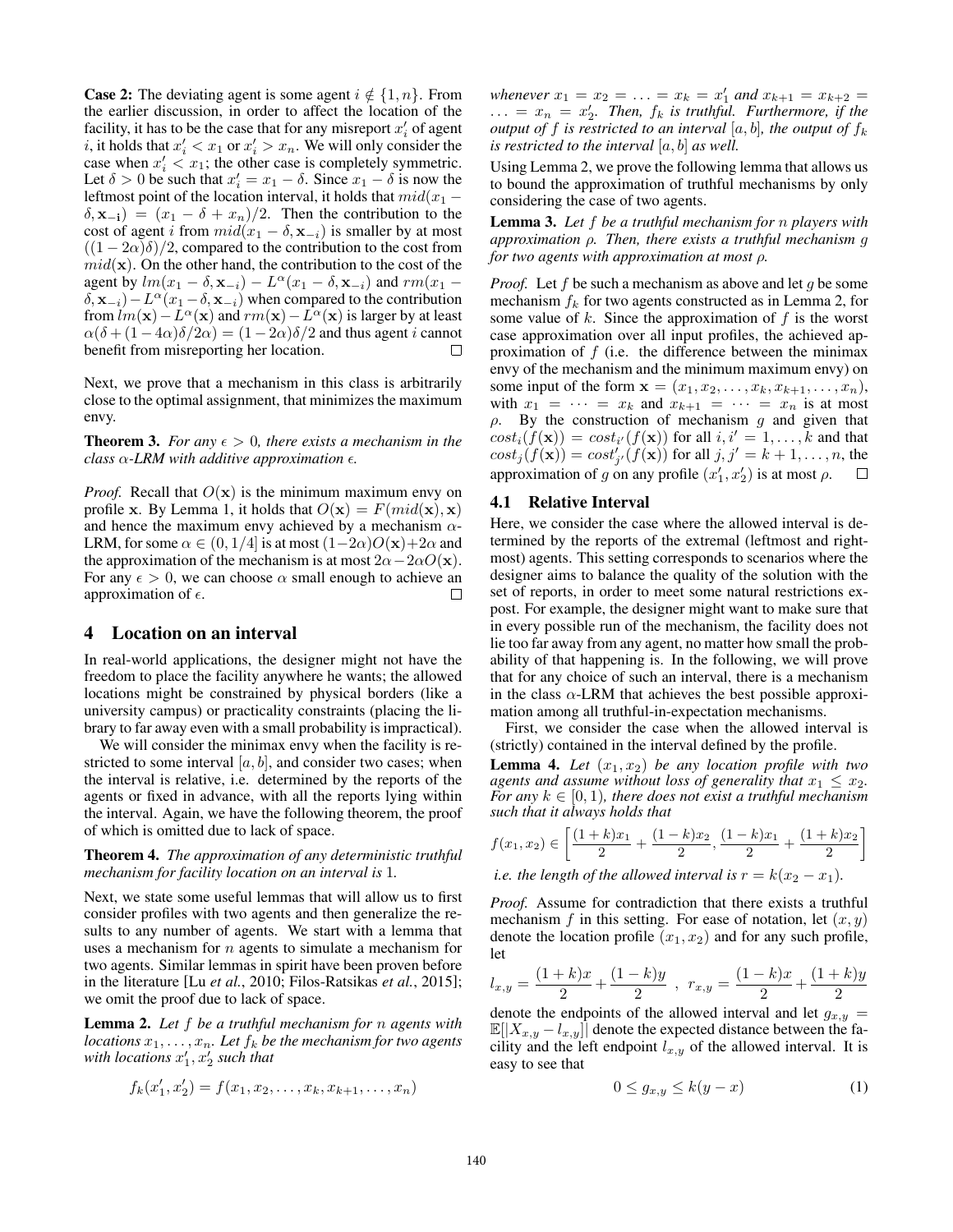**Case 2:** The deviating agent is some agent  $i \notin \{1, n\}$ . From the earlier discussion, in order to affect the location of the facility, it has to be the case that for any misreport  $x_i'$  of agent *i*, it holds that  $x_i' < x_1$  or  $x_i' > x_n$ . We will only consider the case when  $x_i' < x_1$ ; the other case is completely symmetric. Let  $\delta > 0$  be such that  $x_i' = x_1 - \delta$ . Since  $x_1 - \delta$  is now the leftmost point of the location interval, it holds that  $mid(x_1 (\delta, \mathbf{x}_{-i}) = (x_1 - \delta + x_n)/2$ . Then the contribution to the cost of agent *i* from  $mid(x_1 - \delta, \mathbf{x}_{-i})$  is smaller by at most  $((1 – 2\alpha)\delta)/2$ , compared to the contribution to the cost from  $mid(\mathbf{x})$ . On the other hand, the contribution to the cost of the agent by  $lm(x_1 - \delta, \mathbf{x}_{-i}) - L^{\alpha}(x_1 - \delta, \mathbf{x}_{-i})$  and  $rm(x_1 \delta$ ,  $\mathbf{x}_{-i}$ ) –  $L^{\alpha}(x_1 - \delta, \mathbf{x}_{-i})$  when compared to the contribution from  $lm(\mathbf{x}) - L^{\alpha}(\mathbf{x})$  and  $rm(\mathbf{x}) - L^{\alpha}(\mathbf{x})$  is larger by at least  $\alpha(\delta + (1-4\alpha)\delta/2\alpha) = (1-2\alpha)\delta/2$  and thus agent *i* cannot benefit from misreporting her location.

Next, we prove that a mechanism in this class is arbitrarily close to the optimal assignment, that minimizes the maximum envy.

**Theorem 3.** *For any*  $\epsilon > 0$ *, there exists a mechanism in the class*  $\alpha$ -LRM with additive approximation  $\epsilon$ .

*Proof.* Recall that  $O(x)$  is the minimum maximum envy on profile x. By Lemma 1, it holds that  $O(x) = F$ ( $mid(x)$ , x) and hence the maximum envy achieved by a mechanism  $\alpha$ -LRM, for some  $\alpha \in (0, 1/4]$  is at most  $(1-2\alpha)O(\mathbf{x})+2\alpha$  and the approximation of the mechanism is at most  $2\alpha - 2\alpha O(\mathbf{x})$ . For any  $\epsilon > 0$ , we can choose  $\alpha$  small enough to achieve an approximation of  $\epsilon$ . П

# 4 Location on an interval

In real-world applications, the designer might not have the freedom to place the facility anywhere he wants; the allowed locations might be constrained by physical borders (like a university campus) or practicality constraints (placing the library to far away even with a small probability is impractical).

We will consider the minimax envy when the facility is restricted to some interval  $[a, b]$ , and consider two cases; when the interval is relative, i.e. determined by the reports of the agents or fixed in advance, with all the reports lying within the interval. Again, we have the following theorem, the proof of which is omitted due to lack of space.

Theorem 4. *The approximation of any deterministic truthful mechanism for facility location on an interval is* 1*.*

Next, we state some useful lemmas that will allow us to first consider profiles with two agents and then generalize the results to any number of agents. We start with a lemma that uses a mechanism for *n* agents to simulate a mechanism for two agents. Similar lemmas in spirit have been proven before in the literature [Lu *et al.*, 2010; Filos-Ratsikas *et al.*, 2015]; we omit the proof due to lack of space.

Lemma 2. *Let f be a truthful mechanism for n agents with locations*  $x_1, \ldots, x_n$ *. Let*  $f_k$  *be the mechanism for two agents* with locations  $x'_1, x'_2$  such that

$$
f_k(x'_1, x'_2) = f(x_1, x_2, \dots, x_k, x_{k+1}, \dots, x_n)
$$

*whenever*  $x_1 = x_2 = \ldots = x_k = x'_1$  *and*  $x_{k+1} = x_{k+2} = \ldots$  $\ldots = x_n = x_2'$ . Then,  $f_k$  is truthful. Furthermore, if the *output of*  $f$  *is restricted to an interval*  $[a, b]$ *, the output of*  $f_k$ *is restricted to the interval* [*a, b*] *as well.*

Using Lemma 2, we prove the following lemma that allows us to bound the approximation of truthful mechanisms by only considering the case of two agents.

Lemma 3. *Let f be a truthful mechanism for n players with*  $a$ *approximation*  $\rho$ *. Then, there exists a truthful mechanism g for two agents with approximation at most*  $\rho$ *.* 

*Proof.* Let *f* be such a mechanism as above and let *g* be some mechanism  $f_k$  for two agents constructed as in Lemma 2, for some value of *k*. Since the approximation of *f* is the worst case approximation over all input profiles, the achieved approximation of *f* (i.e. the difference between the minimax envy of the mechanism and the minimum maximum envy) on some input of the form  $x = (x_1, x_2, ..., x_k, x_{k+1}, ..., x_n)$ , with  $x_1 = \cdots = x_k$  and  $x_{k+1} = \cdots = x_n$  is at most  $\rho$ . By the construction of mechanism  $g$  and given that  $cost_i(f(\mathbf{x})) = cost_{i'}(f(\mathbf{x}))$  for all  $i, i' = 1, \ldots, k$  and that  $cost_j(f(\mathbf{x})) = cost'_{j'}(f(\mathbf{x}))$  for all  $j, j' = k + 1, \ldots, n$ , the approximation of *g* on any profile  $(x'_1, x'_2)$  is at most  $\rho$ .  $\Box$ 

#### 4.1 Relative Interval

Here, we consider the case where the allowed interval is determined by the reports of the extremal (leftmost and rightmost) agents. This setting corresponds to scenarios where the designer aims to balance the quality of the solution with the set of reports, in order to meet some natural restrictions expost. For example, the designer might want to make sure that in every possible run of the mechanism, the facility does not lie too far away from any agent, no matter how small the probability of that happening is. In the following, we will prove that for any choice of such an interval, there is a mechanism in the class  $\alpha$ -LRM that achieves the best possible approximation among all truthful-in-expectation mechanisms.

First, we consider the case when the allowed interval is (strictly) contained in the interval defined by the profile.

**Lemma 4.** *Let*  $(x_1, x_2)$  *be any location profile with two agents and assume without loss of generality that*  $x_1 \leq x_2$ . For any  $k \in [0, 1)$ , there does not exist a truthful mechanism *such that it always holds that*

$$
f(x_1, x_2) \in \left[ \frac{(1+k)x_1}{2} + \frac{(1-k)x_2}{2}, \frac{(1-k)x_1}{2} + \frac{(1+k)x_2}{2} \right]
$$

*i.e. the length of the allowed interval is*  $r = k(x_2 - x_1)$ *.* 

*Proof.* Assume for contradiction that there exists a truthful mechanism  $f$  in this setting. For ease of notation, let  $(x, y)$ denote the location profile  $(x_1, x_2)$  and for any such profile, let

$$
l_{x,y} = \frac{(1+k)x}{2} + \frac{(1-k)y}{2} , r_{x,y} = \frac{(1-k)x}{2} + \frac{(1+k)y}{2}
$$

denote the endpoints of the allowed interval and let  $g_{x,y}$  $\mathbb{E}[|X_{x,y} - l_{x,y}]|$  denote the expected distance between the facility and the left endpoint  $l_{x,y}$  of the allowed interval. It is easy to see that

$$
0 \le g_{x,y} \le k(y-x) \tag{1}
$$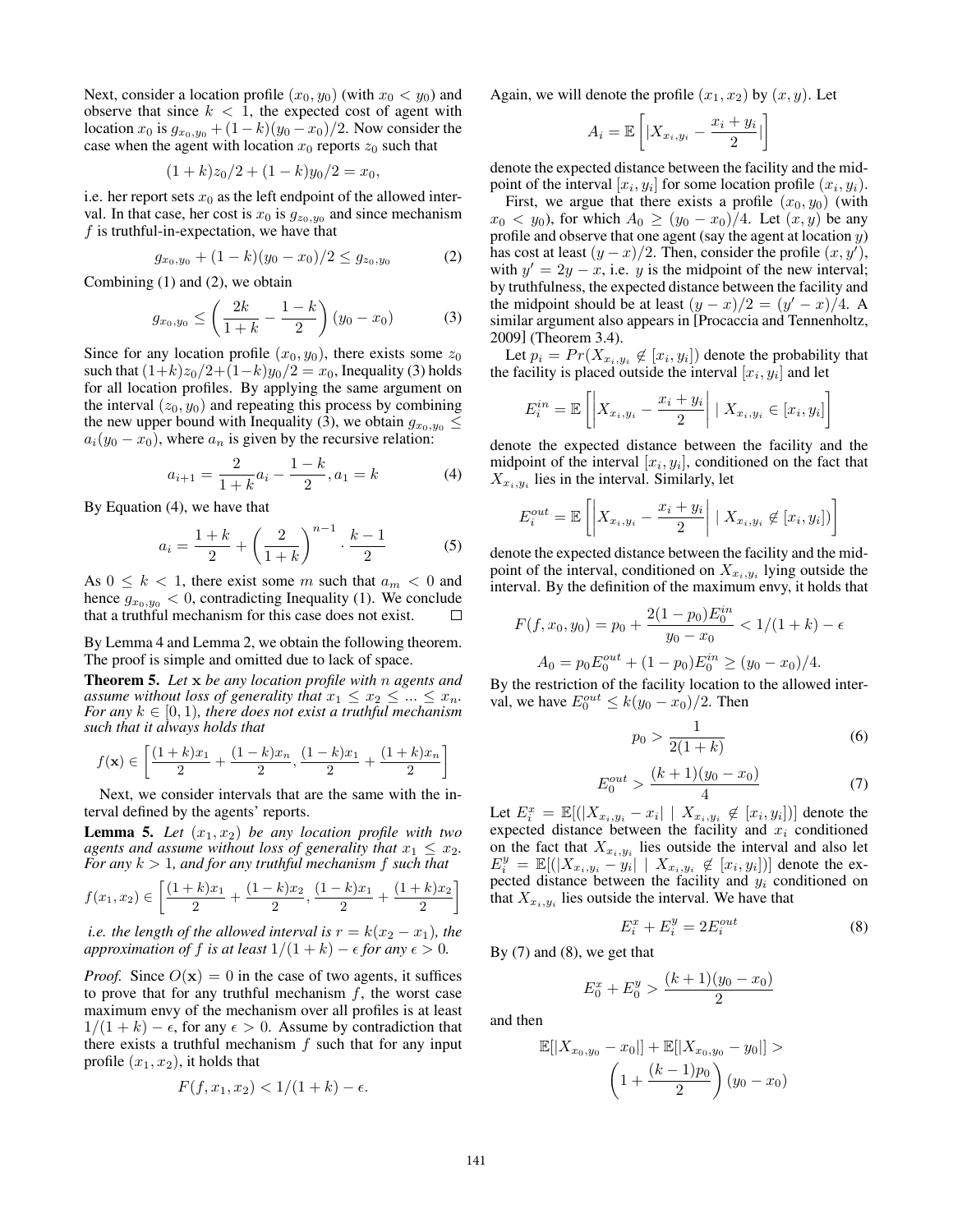Next, consider a location profile  $(x_0, y_0)$  (with  $x_0 < y_0$ ) and observe that since  $k < 1$ , the expected cost of agent with location  $x_0$  is  $g_{x_0, y_0} + (1 - k)(y_0 - x_0)/2$ . Now consider the case when the agent with location  $x_0$  reports  $z_0$  such that

$$
(1+k)z_0/2 + (1-k)y_0/2 = x_0,
$$

i.e. her report sets  $x_0$  as the left endpoint of the allowed interval. In that case, her cost is  $x_0$  is  $g_{z_0, y_0}$  and since mechanism *f* is truthful-in-expectation, we have that

$$
g_{x_0,y_0} + (1-k)(y_0 - x_0)/2 \le g_{z_0,y_0} \tag{2}
$$

Combining (1) and (2), we obtain

$$
g_{x_0,y_0} \le \left(\frac{2k}{1+k} - \frac{1-k}{2}\right)(y_0 - x_0) \tag{3}
$$

Since for any location profile  $(x_0, y_0)$ , there exists some  $z_0$ such that  $(1+k)z_0/2+(1-k)y_0/2 = x_0$ , Inequality (3) holds for all location profiles. By applying the same argument on the interval  $(z_0, y_0)$  and repeating this process by combining the new upper bound with Inequality (3), we obtain  $g_{x_0,y_0} \leq$  $a_i(y_0 - x_0)$ , where  $a_n$  is given by the recursive relation:

$$
a_{i+1} = \frac{2}{1+k}a_i - \frac{1-k}{2}, a_1 = k \tag{4}
$$

By Equation (4), we have that

$$
a_i = \frac{1+k}{2} + \left(\frac{2}{1+k}\right)^{n-1} \cdot \frac{k-1}{2} \tag{5}
$$

As  $0 \leq k < 1$ , there exist some *m* such that  $a_m < 0$  and hence  $g_{x_0, y_0} < 0$ , contradicting Inequality (1). We conclude that a truthful mechanism for this case does not exist.

By Lemma 4 and Lemma 2, we obtain the following theorem. The proof is simple and omitted due to lack of space.

Theorem 5. *Let* x *be any location profile with n agents and assume without loss of generality that*  $x_1 \leq x_2 \leq \ldots \leq x_n$ .<br>For any  $k \in [0,1)$ , there does not exist a truthful mechanism *such that it always holds that*

$$
f(\mathbf{x}) \in \left[ \frac{(1+k)x_1}{2} + \frac{(1-k)x_n}{2}, \frac{(1-k)x_1}{2} + \frac{(1+k)x_n}{2} \right]
$$

Next, we consider intervals that are the same with the interval defined by the agents' reports.

**Lemma 5.** *Let*  $(x_1, x_2)$  *be any location profile with two agents and assume without loss of generality that*  $x_1 \leq x_2$ . *For any*  $k > 1$ *, and for any truthful mechanism*  $f$  *such that* 

$$
f(x_1, x_2) \in \left[ \frac{(1+k)x_1}{2} + \frac{(1-k)x_2}{2}, \frac{(1-k)x_1}{2} + \frac{(1+k)x_2}{2} \right]
$$

*i.e. the length of the allowed interval is*  $r = k(x_2 - x_1)$ *, the approximation of f is at least*  $1/(1 + k) - \epsilon$  *for any*  $\epsilon > 0$ *.* 

*Proof.* Since  $O(x)=0$  in the case of two agents, it suffices to prove that for any truthful mechanism *f*, the worst case maximum envy of the mechanism over all profiles is at least  $1/(1 + k) - \epsilon$ , for any  $\epsilon > 0$ . Assume by contradiction that there exists a truthful mechanism *f* such that for any input profile  $(x_1, x_2)$ , it holds that

$$
F(f, x_1, x_2) < 1/(1 + k) - \epsilon.
$$

Again, we will denote the profile  $(x_1, x_2)$  by  $(x, y)$ . Let

$$
A_i = \mathbb{E}\left[|X_{x_i,y_i} - \frac{x_i + y_i}{2}|\right]
$$

denote the expected distance between the facility and the midpoint of the interval  $[x_i, y_i]$  for some location profile  $(x_i, y_i)$ .

First, we argue that there exists a profile  $(x_0, y_0)$  (with  $x_0 < y_0$ , for which  $A_0 \ge (y_0 - x_0)/4$ . Let  $(x, y)$  be any profile and observe that one agent (say the agent at location *y*) has cost at least  $(y - x)/2$ . Then, consider the profile  $(x, y')$ , with  $y' = 2y - x$ , i.e. *y* is the midpoint of the new interval; by truthfulness, the expected distance between the facility and the midpoint should be at least  $(y - x)/2 = (y' - x)/4$ . A similar argument also appears in [Procaccia and Tennenholtz, 2009] (Theorem 3.4).

Let  $p_i = Pr(X_{x_i, y_i} \notin [x_i, y_i])$  denote the probability that the facility is placed outside the interval  $[x_i, y_i]$  and let

$$
E_i^{in} = \mathbb{E}\left[\left|X_{x_i,y_i} - \frac{x_i + y_i}{2}\right| \mid X_{x_i,y_i} \in [x_i, y_i]\right]
$$

denote the expected distance between the facility and the midpoint of the interval  $[x_i, y_i]$ , conditioned on the fact that  $X_{x_i, y_i}$  lies in the interval. Similarly, let

$$
E_i^{out} = \mathbb{E}\left[ \left| X_{x_i, y_i} - \frac{x_i + y_i}{2} \right| \mid X_{x_i, y_i} \not\in [x_i, y_i] \right) \right]
$$

denote the expected distance between the facility and the midpoint of the interval, conditioned on  $X_{x_i, y_i}$  lying outside the interval. By the definition of the maximum envy, it holds that

$$
F(f, x_0, y_0) = p_0 + \frac{2(1 - p_0)E_0^{in}}{y_0 - x_0} < 1/(1 + k) - \epsilon
$$
  

$$
A_0 = p_0 E_0^{out} + (1 - p_0)E_0^{in} \ge (y_0 - x_0)/4.
$$

By the restriction of the facility location to the allowed interval, we have  $E_0^{out} \le k(y_0 - x_0)/2$ . Then

$$
p_0 > \frac{1}{2(1+k)}\tag{6}
$$

$$
E_0^{out} > \frac{(k+1)(y_0 - x_0)}{4} \tag{7}
$$

Let  $E_i^x = \mathbb{E}[(|X_{x_i,y_i} - x_i| \mid X_{x_i,y_i} \notin [x_i, y_i])]$  denote the expected distance between the facility and *x<sup>i</sup>* conditioned on the fact that  $X_{x_i,y_i}$  lies outside the interval and also let  $E_i^y = \mathbb{E}[(|X_{x_i,y_i} - y_i| | X_{x_i,y_i} \notin [x_i,y_i])]$  denote the expected distance between the facility and *y<sup>i</sup>* conditioned on that  $X_{x_i, y_i}$  lies outside the interval. We have that

$$
E_i^x + E_i^y = 2E_i^{out} \tag{8}
$$

By  $(7)$  and  $(8)$ , we get that

$$
E_0^x + E_0^y > \frac{(k+1)(y_0 - x_0)}{2}
$$

and then

$$
\mathbb{E}[|X_{x_0,y_0} - x_0|] + \mathbb{E}[|X_{x_0,y_0} - y_0|] >
$$

$$
\left(1 + \frac{(k-1)p_0}{2}\right)(y_0 - x_0)
$$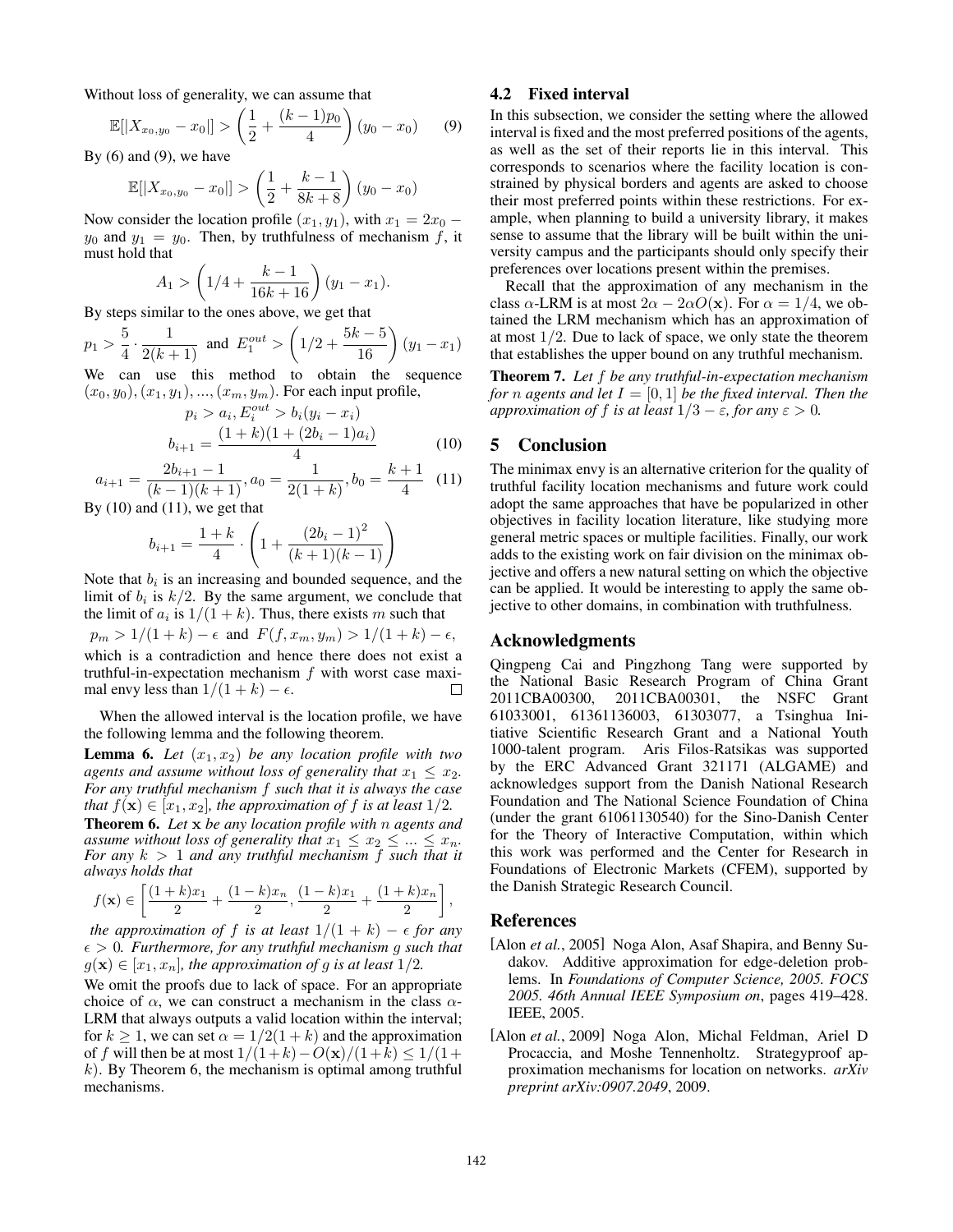Without loss of generality, we can assume that

$$
\mathbb{E}[|X_{x_0,y_0}-x_0|] > \left(\frac{1}{2} + \frac{(k-1)p_0}{4}\right)(y_0-x_0) \qquad (9)
$$

By  $(6)$  and  $(9)$ , we have

$$
\mathbb{E}[|X_{x_0,y_0}-x_0|] > \left(\frac{1}{2} + \frac{k-1}{8k+8}\right)(y_0-x_0)
$$

Now consider the location profile  $(x_1, y_1)$ , with  $x_1 = 2x_0$  –  $y_0$  and  $y_1 = y_0$ . Then, by truthfulness of mechanism f, it must hold that

$$
A_1 > \left(1/4 + \frac{k-1}{16k+16}\right)(y_1 - x_1).
$$

By steps similar to the ones above, we get that

$$
p_1 > \frac{5}{4} \cdot \frac{1}{2(k+1)}
$$
 and  $E_1^{out} > \left(1/2 + \frac{5k-5}{16}\right)(y_1 - x_1)$ 

We can use this method to obtain the sequence  $(x_0, y_0), (x_1, y_1), ..., (x_m, y_m)$ . For each input profile,

$$
p_i > a_i, E_i^{out} > b_i(y_i - x_i)
$$
  

$$
b_{i+1} = \frac{(1+k)(1+(2b_i-1)a_i)}{4}
$$
 (10)

$$
a_{i+1} = \frac{2b_{i+1} - 1}{(k-1)(k+1)}, a_0 = \frac{1}{2(1+k)}, b_0 = \frac{k+1}{4} \quad (11)
$$

By  $(10)$  and  $(11)$ , we get that

$$
b_{i+1} = \frac{1+k}{4} \cdot \left(1 + \frac{(2b_i - 1)^2}{(k+1)(k-1)}\right)
$$

Note that  $b_i$  is an increasing and bounded sequence, and the limit of  $b_i$  is  $k/2$ . By the same argument, we conclude that the limit of  $a_i$  is  $1/(1 + k)$ . Thus, there exists *m* such that  $p_m > 1/(1 + k) - \epsilon$  and  $F(f, x_m, y_m) > 1/(1 + k) - \epsilon$ ,

which is a contradiction and hence there does not exist a truthful-in-expectation mechanism *f* with worst case maximal envy less than  $1/(1 + k) - \epsilon$ .  $\Box$ 

When the allowed interval is the location profile, we have the following lemma and the following theorem.

**Lemma 6.** Let  $(x_1, x_2)$  be any location profile with two *agents and assume without loss of generality that*  $x_1 \leq x_2$ . *For any truthful mechanism f such that it is always the case that*  $f(\mathbf{x}) \in [x_1, x_2]$ *, the approximation of*  $f$  *is at least*  $1/2$ *.* **Theorem 6.** Let  $x$  *be any location profile with n agents and assume without loss of generality that*  $x_1 \le x_2 \le ... \le x_n$ . *For any*  $k > 1$  *and any truthful mechanism*  $f$  *such that it always holds that*

$$
f(\mathbf{x}) \in \left[ \frac{(1+k)x_1}{2} + \frac{(1-k)x_n}{2}, \frac{(1-k)x_1}{2} + \frac{(1+k)x_n}{2} \right],
$$

*the approximation of f is at least*  $1/(1 + k) - \epsilon$  *for any*  $\epsilon > 0$ . Furthermore, for any truthful mechanism g such that  $g(\mathbf{x}) \in [x_1, x_n]$ , the approximation of g is at least  $1/2$ .

We omit the proofs due to lack of space. For an appropriate choice of  $\alpha$ , we can construct a mechanism in the class  $\alpha$ -LRM that always outputs a valid location within the interval; for  $k \ge 1$ , we can set  $\alpha = 1/2(1 + k)$  and the approximation of *f* will then be at most  $1/(1+k) - O(x)/(1+k) \le 1/(1+k)$ *k*). By Theorem 6, the mechanism is optimal among truthful mechanisms.

## 4.2 Fixed interval

In this subsection, we consider the setting where the allowed interval is fixed and the most preferred positions of the agents, as well as the set of their reports lie in this interval. This corresponds to scenarios where the facility location is constrained by physical borders and agents are asked to choose their most preferred points within these restrictions. For example, when planning to build a university library, it makes sense to assume that the library will be built within the university campus and the participants should only specify their preferences over locations present within the premises.

Recall that the approximation of any mechanism in the class  $\alpha$ -LRM is at most  $2\alpha - 2\alpha O(x)$ . For  $\alpha = 1/4$ , we obtained the LRM mechanism which has an approximation of at most 1*/*2. Due to lack of space, we only state the theorem that establishes the upper bound on any truthful mechanism.

Theorem 7. *Let f be any truthful-in-expectation mechanism for n agents* and let  $I = [0, 1]$  *be the fixed interval. Then the approximation of f is at least*  $1/3 - \varepsilon$ *, for any*  $\varepsilon > 0$ *.* 

# 5 Conclusion

The minimax envy is an alternative criterion for the quality of truthful facility location mechanisms and future work could adopt the same approaches that have be popularized in other objectives in facility location literature, like studying more general metric spaces or multiple facilities. Finally, our work adds to the existing work on fair division on the minimax objective and offers a new natural setting on which the objective can be applied. It would be interesting to apply the same objective to other domains, in combination with truthfulness.

## Acknowledgments

Qingpeng Cai and Pingzhong Tang were supported by the National Basic Research Program of China Grant 2011CBA00300, 2011CBA00301, the NSFC Grant 61033001, 61361136003, 61303077, a Tsinghua Initiative Scientific Research Grant and a National Youth 1000-talent program. Aris Filos-Ratsikas was supported by the ERC Advanced Grant 321171 (ALGAME) and acknowledges support from the Danish National Research Foundation and The National Science Foundation of China (under the grant 61061130540) for the Sino-Danish Center for the Theory of Interactive Computation, within which this work was performed and the Center for Research in Foundations of Electronic Markets (CFEM), supported by the Danish Strategic Research Council.

#### References

- [Alon *et al.*, 2005] Noga Alon, Asaf Shapira, and Benny Sudakov. Additive approximation for edge-deletion problems. In *Foundations of Computer Science, 2005. FOCS 2005. 46th Annual IEEE Symposium on*, pages 419–428. IEEE, 2005.
- [Alon *et al.*, 2009] Noga Alon, Michal Feldman, Ariel D Procaccia, and Moshe Tennenholtz. Strategyproof approximation mechanisms for location on networks. *arXiv preprint arXiv:0907.2049*, 2009.